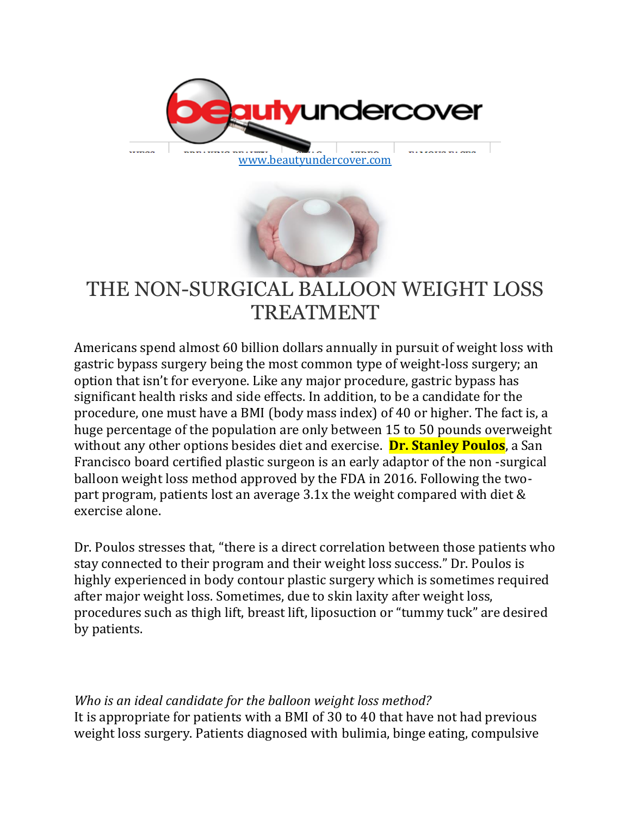

[www.beautyundercover.com](http://www.beautyundercover.com/)



# THE NON-SURGICAL BALLOON WEIGHT LOSS TREATMENT

Americans spend almost 60 billion dollars annually in pursuit of weight loss with gastric bypass surgery being the most common type of weight-loss surgery; an option that isn't for everyone. Like any major procedure, gastric bypass has significant health risks and side effects. In addition, to be a candidate for the procedure, one must have a BMI (body mass index) of 40 or higher. The fact is, a huge percentage of the population are only between 15 to 50 pounds overweight without any other options besides diet and exercise. **Dr. Stanley Poulos**, a San Francisco board certified plastic surgeon is an early adaptor of the non -surgical balloon weight loss method approved by the FDA in 2016. Following the twopart program, patients lost an average 3.1x the weight compared with diet & exercise alone.

Dr. Poulos stresses that, "there is a direct correlation between those patients who stay connected to their program and their weight loss success." Dr. Poulos is highly experienced in body contour plastic surgery which is sometimes required after major weight loss. Sometimes, due to skin laxity after weight loss, procedures such as thigh lift, breast lift, liposuction or "tummy tuck" are desired by patients.

*Who is an ideal candidate for the balloon weight loss method?* It is appropriate for patients with a BMI of 30 to 40 that have not had previous weight loss surgery. Patients diagnosed with bulimia, binge eating, compulsive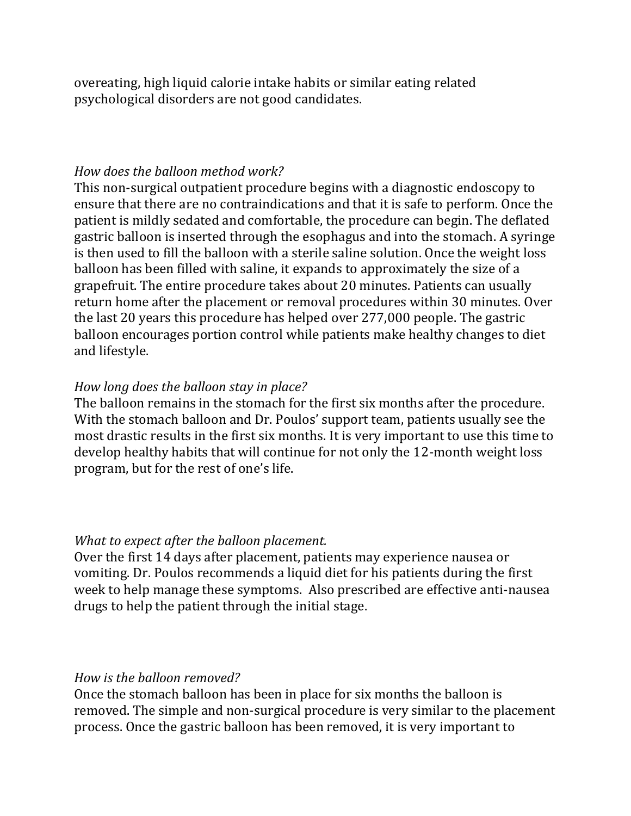overeating, high liquid calorie intake habits or similar eating related psychological disorders are not good candidates.

#### *How does the balloon method work?*

This non-surgical outpatient procedure begins with a diagnostic endoscopy to ensure that there are no contraindications and that it is safe to perform. Once the patient is mildly sedated and comfortable, the procedure can begin. The deflated gastric balloon is inserted through the esophagus and into the stomach. A syringe is then used to fill the balloon with a sterile saline solution. Once the weight loss balloon has been filled with saline, it expands to approximately the size of a grapefruit. The entire procedure takes about 20 minutes. Patients can usually return home after the placement or removal procedures within 30 minutes. Over the last 20 years this procedure has helped over 277,000 people. The gastric balloon encourages portion control while patients make healthy changes to diet and lifestyle.

### *How long does the balloon stay in place?*

The balloon remains in the stomach for the first six months after the procedure. With the stomach balloon and Dr. Poulos' support team, patients usually see the most drastic results in the first six months. It is very important to use this time to develop healthy habits that will continue for not only the 12-month weight loss program, but for the rest of one's life.

#### *What to expect after the balloon placement.*

Over the first 14 days after placement, patients may experience nausea or vomiting. Dr. Poulos recommends a liquid diet for his patients during the first week to help manage these symptoms. Also prescribed are effective anti-nausea drugs to help the patient through the initial stage.

#### *How is the balloon removed?*

Once the stomach balloon has been in place for six months the balloon is removed. The simple and non-surgical procedure is very similar to the placement process. Once the gastric balloon has been removed, it is very important to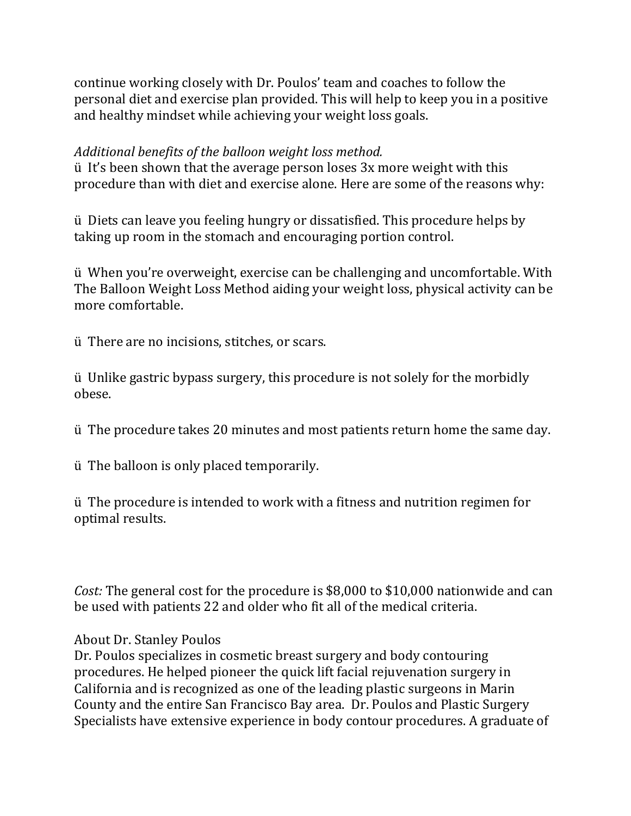continue working closely with Dr. Poulos' team and coaches to follow the personal diet and exercise plan provided. This will help to keep you in a positive and healthy mindset while achieving your weight loss goals.

## *Additional benefits of the balloon weight loss method.*

ü It's been shown that the average person loses 3x more weight with this procedure than with diet and exercise alone. Here are some of the reasons why:

ü Diets can leave you feeling hungry or dissatisfied. This procedure helps by taking up room in the stomach and encouraging portion control.

ü When you're overweight, exercise can be challenging and uncomfortable. With The Balloon Weight Loss Method aiding your weight loss, physical activity can be more comfortable.

ü There are no incisions, stitches, or scars.

ü Unlike gastric bypass surgery, this procedure is not solely for the morbidly obese.

ü The procedure takes 20 minutes and most patients return home the same day.

ü The balloon is only placed temporarily.

ü The procedure is intended to work with a fitness and nutrition regimen for optimal results.

*Cost:* The general cost for the procedure is \$8,000 to \$10,000 nationwide and can be used with patients 22 and older who fit all of the medical criteria.

About Dr. Stanley Poulos

Dr. Poulos specializes in cosmetic breast surgery and body contouring procedures. He helped pioneer the quick lift facial rejuvenation surgery in California and is recognized as one of the leading plastic surgeons in Marin County and the entire San Francisco Bay area. Dr. Poulos and Plastic Surgery Specialists have extensive experience in body contour procedures. A graduate of